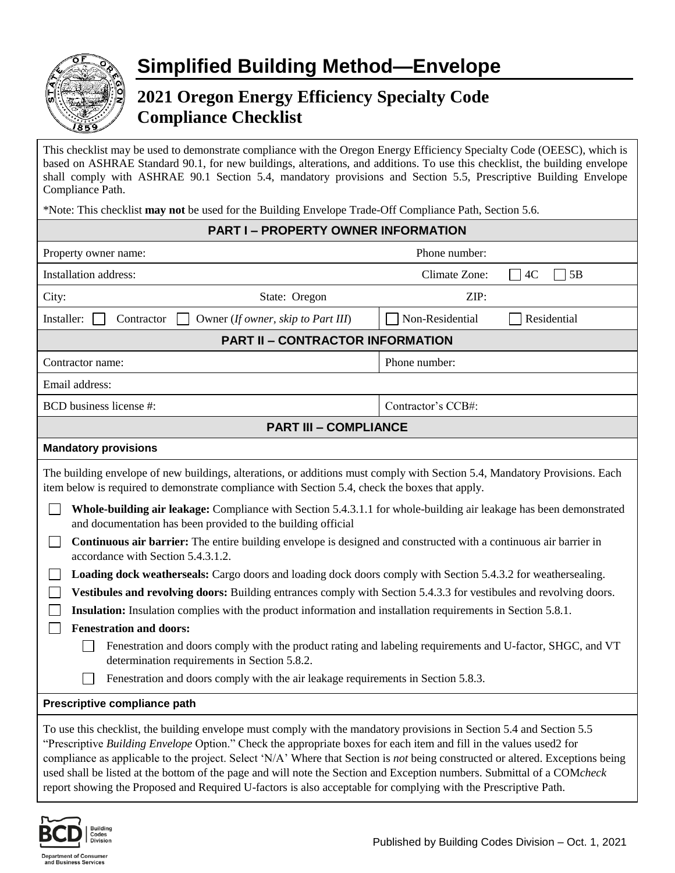

## **2021 Oregon Energy Efficiency Specialty Code Compliance Checklist**

This checklist may be used to demonstrate compliance with the Oregon Energy Efficiency Specialty Code (OEESC), which is based on ASHRAE Standard 90.1, for new buildings, alterations, and additions. To use this checklist, the building envelope shall comply with ASHRAE 90.1 Section 5.4, mandatory provisions and Section 5.5, Prescriptive Building Envelope Compliance Path.

\*Note: This checklist **may not** be used for the Building Envelope Trade-Off Compliance Path, Section 5.6.

| <b>PART I-PROPERTY OWNER INFORMATION</b>                                                                                                                                                                                                                                                                                                                                                                                                                                                                                                                                                                                                                                                                                                                                                                                                                                                                                                                                                                                                                                                                                                                                                                                         |                                         |                    |             |  |
|----------------------------------------------------------------------------------------------------------------------------------------------------------------------------------------------------------------------------------------------------------------------------------------------------------------------------------------------------------------------------------------------------------------------------------------------------------------------------------------------------------------------------------------------------------------------------------------------------------------------------------------------------------------------------------------------------------------------------------------------------------------------------------------------------------------------------------------------------------------------------------------------------------------------------------------------------------------------------------------------------------------------------------------------------------------------------------------------------------------------------------------------------------------------------------------------------------------------------------|-----------------------------------------|--------------------|-------------|--|
| Property owner name:                                                                                                                                                                                                                                                                                                                                                                                                                                                                                                                                                                                                                                                                                                                                                                                                                                                                                                                                                                                                                                                                                                                                                                                                             |                                         | Phone number:      |             |  |
| Installation address:                                                                                                                                                                                                                                                                                                                                                                                                                                                                                                                                                                                                                                                                                                                                                                                                                                                                                                                                                                                                                                                                                                                                                                                                            |                                         | Climate Zone:      | 5B<br>4C    |  |
| City:                                                                                                                                                                                                                                                                                                                                                                                                                                                                                                                                                                                                                                                                                                                                                                                                                                                                                                                                                                                                                                                                                                                                                                                                                            | State: Oregon                           | ZIP:               |             |  |
| Installer:<br>Contractor<br>Owner (If owner, skip to Part III)                                                                                                                                                                                                                                                                                                                                                                                                                                                                                                                                                                                                                                                                                                                                                                                                                                                                                                                                                                                                                                                                                                                                                                   |                                         | Non-Residential    | Residential |  |
|                                                                                                                                                                                                                                                                                                                                                                                                                                                                                                                                                                                                                                                                                                                                                                                                                                                                                                                                                                                                                                                                                                                                                                                                                                  | <b>PART II - CONTRACTOR INFORMATION</b> |                    |             |  |
| Contractor name:                                                                                                                                                                                                                                                                                                                                                                                                                                                                                                                                                                                                                                                                                                                                                                                                                                                                                                                                                                                                                                                                                                                                                                                                                 |                                         | Phone number:      |             |  |
| Email address:                                                                                                                                                                                                                                                                                                                                                                                                                                                                                                                                                                                                                                                                                                                                                                                                                                                                                                                                                                                                                                                                                                                                                                                                                   |                                         |                    |             |  |
| BCD business license #:                                                                                                                                                                                                                                                                                                                                                                                                                                                                                                                                                                                                                                                                                                                                                                                                                                                                                                                                                                                                                                                                                                                                                                                                          |                                         | Contractor's CCB#: |             |  |
|                                                                                                                                                                                                                                                                                                                                                                                                                                                                                                                                                                                                                                                                                                                                                                                                                                                                                                                                                                                                                                                                                                                                                                                                                                  | <b>PART III - COMPLIANCE</b>            |                    |             |  |
| <b>Mandatory provisions</b>                                                                                                                                                                                                                                                                                                                                                                                                                                                                                                                                                                                                                                                                                                                                                                                                                                                                                                                                                                                                                                                                                                                                                                                                      |                                         |                    |             |  |
| The building envelope of new buildings, alterations, or additions must comply with Section 5.4, Mandatory Provisions. Each<br>item below is required to demonstrate compliance with Section 5.4, check the boxes that apply.<br>Whole-building air leakage: Compliance with Section 5.4.3.1.1 for whole-building air leakage has been demonstrated<br>and documentation has been provided to the building official<br>Continuous air barrier: The entire building envelope is designed and constructed with a continuous air barrier in<br>accordance with Section 5.4.3.1.2.<br>Loading dock weatherseals: Cargo doors and loading dock doors comply with Section 5.4.3.2 for weathersealing.<br>Vestibules and revolving doors: Building entrances comply with Section 5.4.3.3 for vestibules and revolving doors.<br><b>Insulation:</b> Insulation complies with the product information and installation requirements in Section 5.8.1.<br><b>Fenestration and doors:</b><br>Fenestration and doors comply with the product rating and labeling requirements and U-factor, SHGC, and VT<br>determination requirements in Section 5.8.2.<br>Fenestration and doors comply with the air leakage requirements in Section 5.8.3. |                                         |                    |             |  |
| Prescriptive compliance path                                                                                                                                                                                                                                                                                                                                                                                                                                                                                                                                                                                                                                                                                                                                                                                                                                                                                                                                                                                                                                                                                                                                                                                                     |                                         |                    |             |  |
| To use this checklist, the building envelope must comply with the mandatory provisions in Section 5.4 and Section 5.5<br>"Prescriptive Building Envelope Option." Check the appropriate boxes for each item and fill in the values used2 for<br>compliance as applicable to the project. Select 'N/A' Where that Section is not being constructed or altered. Exceptions being<br>used shall be listed at the bottom of the page and will note the Section and Exception numbers. Submittal of a COMcheck<br>report showing the Proposed and Required U-factors is also acceptable for complying with the Prescriptive Path.                                                                                                                                                                                                                                                                                                                                                                                                                                                                                                                                                                                                     |                                         |                    |             |  |